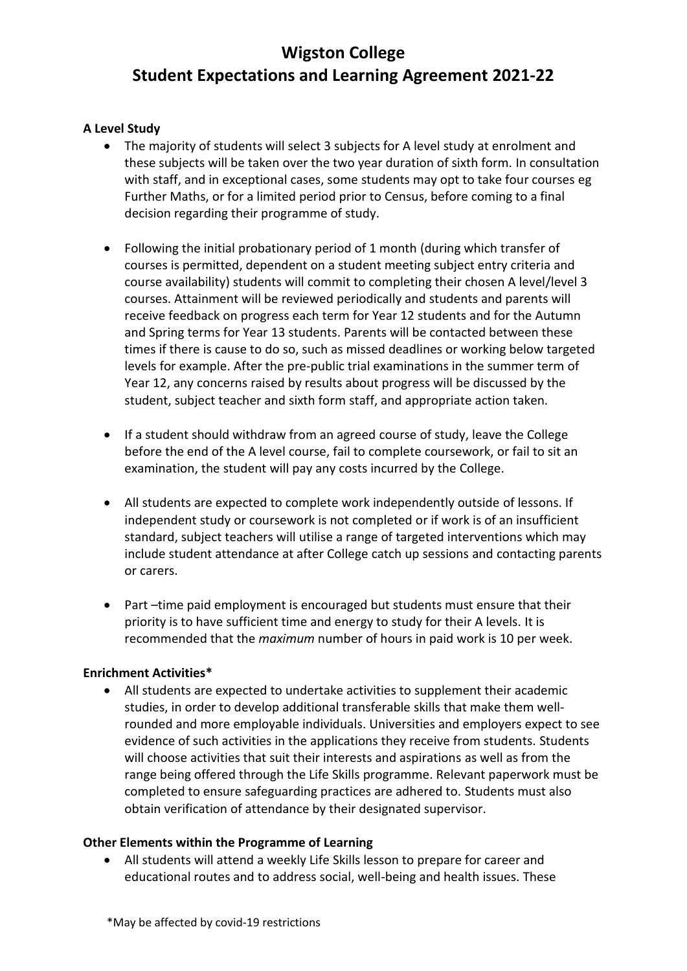## **A Level Study**

- The majority of students will select 3 subjects for A level study at enrolment and these subjects will be taken over the two year duration of sixth form. In consultation with staff, and in exceptional cases, some students may opt to take four courses eg Further Maths, or for a limited period prior to Census, before coming to a final decision regarding their programme of study.
- Following the initial probationary period of 1 month (during which transfer of courses is permitted, dependent on a student meeting subject entry criteria and course availability) students will commit to completing their chosen A level/level 3 courses. Attainment will be reviewed periodically and students and parents will receive feedback on progress each term for Year 12 students and for the Autumn and Spring terms for Year 13 students. Parents will be contacted between these times if there is cause to do so, such as missed deadlines or working below targeted levels for example. After the pre-public trial examinations in the summer term of Year 12, any concerns raised by results about progress will be discussed by the student, subject teacher and sixth form staff, and appropriate action taken.
- If a student should withdraw from an agreed course of study, leave the College before the end of the A level course, fail to complete coursework, or fail to sit an examination, the student will pay any costs incurred by the College.
- All students are expected to complete work independently outside of lessons. If independent study or coursework is not completed or if work is of an insufficient standard, subject teachers will utilise a range of targeted interventions which may include student attendance at after College catch up sessions and contacting parents or carers.
- Part –time paid employment is encouraged but students must ensure that their priority is to have sufficient time and energy to study for their A levels. It is recommended that the *maximum* number of hours in paid work is 10 per week.

### **Enrichment Activities\***

• All students are expected to undertake activities to supplement their academic studies, in order to develop additional transferable skills that make them wellrounded and more employable individuals. Universities and employers expect to see evidence of such activities in the applications they receive from students. Students will choose activities that suit their interests and aspirations as well as from the range being offered through the Life Skills programme. Relevant paperwork must be completed to ensure safeguarding practices are adhered to. Students must also obtain verification of attendance by their designated supervisor.

### **Other Elements within the Programme of Learning**

• All students will attend a weekly Life Skills lesson to prepare for career and educational routes and to address social, well-being and health issues. These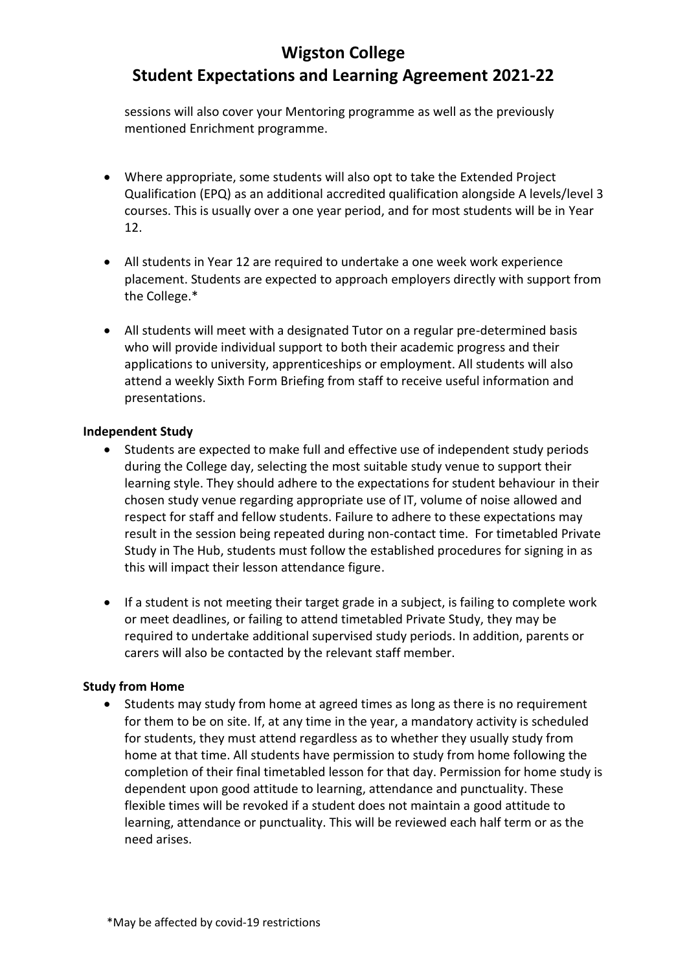sessions will also cover your Mentoring programme as well as the previously mentioned Enrichment programme.

- Where appropriate, some students will also opt to take the Extended Project Qualification (EPQ) as an additional accredited qualification alongside A levels/level 3 courses. This is usually over a one year period, and for most students will be in Year 12.
- All students in Year 12 are required to undertake a one week work experience placement. Students are expected to approach employers directly with support from the College.\*
- All students will meet with a designated Tutor on a regular pre-determined basis who will provide individual support to both their academic progress and their applications to university, apprenticeships or employment. All students will also attend a weekly Sixth Form Briefing from staff to receive useful information and presentations.

### **Independent Study**

- Students are expected to make full and effective use of independent study periods during the College day, selecting the most suitable study venue to support their learning style. They should adhere to the expectations for student behaviour in their chosen study venue regarding appropriate use of IT, volume of noise allowed and respect for staff and fellow students. Failure to adhere to these expectations may result in the session being repeated during non-contact time. For timetabled Private Study in The Hub, students must follow the established procedures for signing in as this will impact their lesson attendance figure.
- If a student is not meeting their target grade in a subject, is failing to complete work or meet deadlines, or failing to attend timetabled Private Study, they may be required to undertake additional supervised study periods. In addition, parents or carers will also be contacted by the relevant staff member.

## **Study from Home**

• Students may study from home at agreed times as long as there is no requirement for them to be on site. If, at any time in the year, a mandatory activity is scheduled for students, they must attend regardless as to whether they usually study from home at that time. All students have permission to study from home following the completion of their final timetabled lesson for that day. Permission for home study is dependent upon good attitude to learning, attendance and punctuality. These flexible times will be revoked if a student does not maintain a good attitude to learning, attendance or punctuality. This will be reviewed each half term or as the need arises.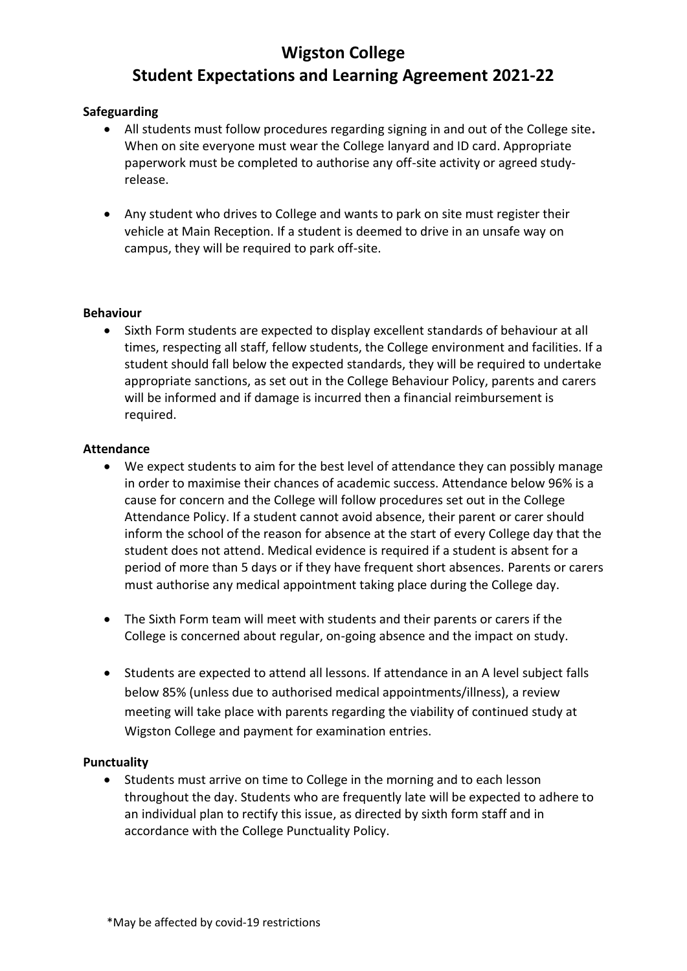## **Safeguarding**

- All students must follow procedures regarding signing in and out of the College site**.**  When on site everyone must wear the College lanyard and ID card. Appropriate paperwork must be completed to authorise any off-site activity or agreed studyrelease.
- Any student who drives to College and wants to park on site must register their vehicle at Main Reception. If a student is deemed to drive in an unsafe way on campus, they will be required to park off-site.

## **Behaviour**

• Sixth Form students are expected to display excellent standards of behaviour at all times, respecting all staff, fellow students, the College environment and facilities. If a student should fall below the expected standards, they will be required to undertake appropriate sanctions, as set out in the College Behaviour Policy, parents and carers will be informed and if damage is incurred then a financial reimbursement is required.

### **Attendance**

- We expect students to aim for the best level of attendance they can possibly manage in order to maximise their chances of academic success. Attendance below 96% is a cause for concern and the College will follow procedures set out in the College Attendance Policy. If a student cannot avoid absence, their parent or carer should inform the school of the reason for absence at the start of every College day that the student does not attend. Medical evidence is required if a student is absent for a period of more than 5 days or if they have frequent short absences. Parents or carers must authorise any medical appointment taking place during the College day.
- The Sixth Form team will meet with students and their parents or carers if the College is concerned about regular, on-going absence and the impact on study.
- Students are expected to attend all lessons. If attendance in an A level subject falls below 85% (unless due to authorised medical appointments/illness), a review meeting will take place with parents regarding the viability of continued study at Wigston College and payment for examination entries.

### **Punctuality**

• Students must arrive on time to College in the morning and to each lesson throughout the day. Students who are frequently late will be expected to adhere to an individual plan to rectify this issue, as directed by sixth form staff and in accordance with the College Punctuality Policy.